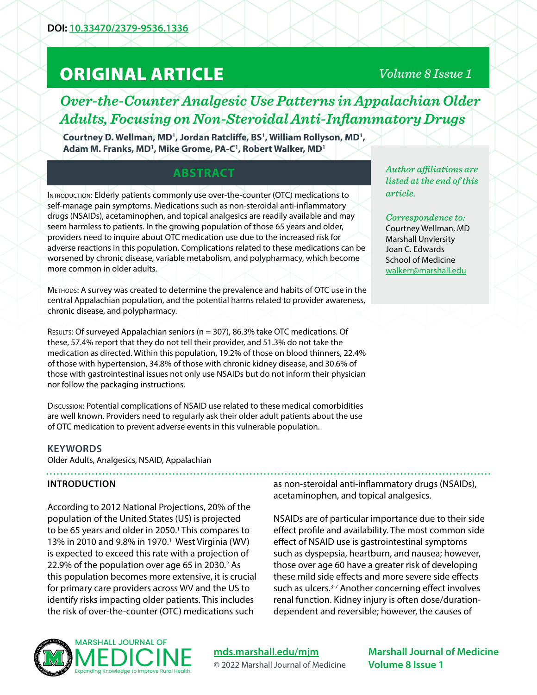# ORIGINAL ARTICLE

### *Volume 8 Issue 1*

# *Over-the-Counter Analgesic Use Patterns in Appalachian Older Adults, Focusing on Non-Steroidal Anti-Inflammatory Drugs*

Courtney D. Wellman, MD<sup>1</sup>, Jordan Ratcliffe, BS<sup>1</sup>, William Rollyson, MD<sup>1</sup>, **Adam M. Franks, MD1 , Mike Grome, PA-C1 , Robert Walker, MD1**

## **ABSTRACT**

INTRODUCTION: Elderly patients commonly use over-the-counter (OTC) medications to self-manage pain symptoms. Medications such as non-steroidal anti-inflammatory drugs (NSAIDs), acetaminophen, and topical analgesics are readily available and may seem harmless to patients. In the growing population of those 65 years and older, providers need to inquire about OTC medication use due to the increased risk for adverse reactions in this population. Complications related to these medications can be worsened by chronic disease, variable metabolism, and polypharmacy, which become more common in older adults.

Methods: A survey was created to determine the prevalence and habits of OTC use in the central Appalachian population, and the potential harms related to provider awareness, chronic disease, and polypharmacy.

Results: Of surveyed Appalachian seniors (n = 307), 86.3% take OTC medications. Of these, 57.4% report that they do not tell their provider, and 51.3% do not take the medication as directed. Within this population, 19.2% of those on blood thinners, 22.4% of those with hypertension, 34.8% of those with chronic kidney disease, and 30.6% of those with gastrointestinal issues not only use NSAIDs but do not inform their physician nor follow the packaging instructions.

Discussion: Potential complications of NSAID use related to these medical comorbidities are well known. Providers need to regularly ask their older adult patients about the use of OTC medication to prevent adverse events in this vulnerable population.

#### **KEYWORDS**

Older Adults, Analgesics, NSAID, Appalachian 

#### **INTRODUCTION**

According to 2012 National Projections, 20% of the population of the United States (US) is projected to be 65 years and older in 2050.<sup>1</sup> This compares to 13% in 2010 and 9.8% in 1970.<sup>1</sup> West Virginia (WV) is expected to exceed this rate with a projection of 22.9% of the population over age 65 in 2030. $2$  As this population becomes more extensive, it is crucial for primary care providers across WV and the US to identify risks impacting older patients. This includes the risk of over-the-counter (OTC) medications such

as non-steroidal anti-inflammatory drugs (NSAIDs), acetaminophen, and topical analgesics.

NSAIDs are of particular importance due to their side effect profile and availability. The most common side effect of NSAID use is gastrointestinal symptoms such as dyspepsia, heartburn, and nausea; however, those over age 60 have a greater risk of developing these mild side effects and more severe side effects such as ulcers.<sup>3-7</sup> Another concerning effect involves renal function. Kidney injury is often dose/durationdependent and reversible; however, the causes of



**[mds.marshall.edu/mjm](https://mds.marshall.edu/mjm/)** © 2022 Marshall Journal of Medicine

**Marshall Journal of Medicine Volume 8 Issue 1**

*Author affiliations are listed at the end of this article.* 

*Correspondence to:*  Courtney Wellman, MD Marshall Unviersity Joan C. Edwards School of Medicine [walkerr@marshall.edu](mailto:walkerr%40marshall.edu?subject=)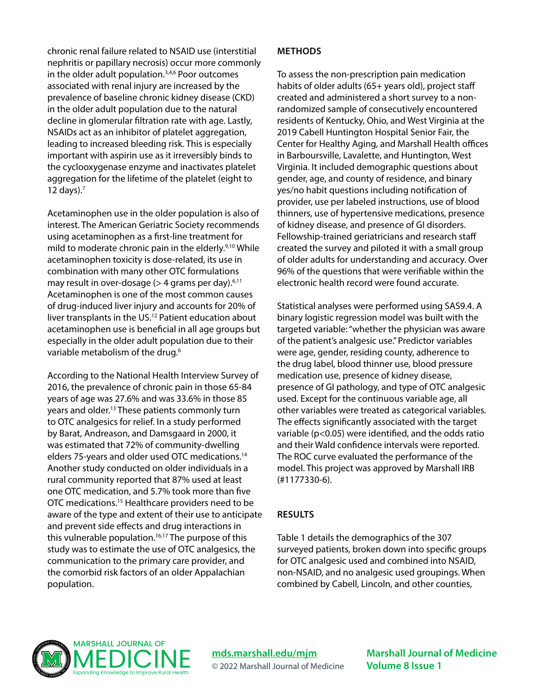chronic renal failure related to NSAID use (interstitial nephritis or papillary necrosis) occur more commonly in the older adult population.<sup>3,4,6</sup> Poor outcomes associated with renal injury are increased by the prevalence of baseline chronic kidney disease (CKD) in the older adult population due to the natural decline in glomerular filtration rate with age. Lastly, NSAIDs act as an inhibitor of platelet aggregation, leading to increased bleeding risk. This is especially important with aspirin use as it irreversibly binds to the cyclooxygenase enzyme and inactivates platelet aggregation for the lifetime of the platelet (eight to 12 days).7

Acetaminophen use in the older population is also of interest. The American Geriatric Society recommends using acetaminophen as a first-line treatment for mild to moderate chronic pain in the elderly.<sup>9,10</sup> While acetaminophen toxicity is dose-related, its use in combination with many other OTC formulations may result in over-dosage ( $>$  4 grams per day).<sup>6,11</sup> Acetaminophen is one of the most common causes of drug-induced liver injury and accounts for 20% of liver transplants in the US.12 Patient education about acetaminophen use is beneficial in all age groups but especially in the older adult population due to their variable metabolism of the drug.<sup>6</sup>

According to the National Health Interview Survey of 2016, the prevalence of chronic pain in those 65-84 years of age was 27.6% and was 33.6% in those 85 years and older.<sup>13</sup> These patients commonly turn to OTC analgesics for relief. In a study performed by Barat, Andreason, and Damsgaard in 2000, it was estimated that 72% of community-dwelling elders 75-years and older used OTC medications.14 Another study conducted on older individuals in a rural community reported that 87% used at least one OTC medication, and 5.7% took more than five OTC medications.15 Healthcare providers need to be aware of the type and extent of their use to anticipate and prevent side effects and drug interactions in this vulnerable population.16,17 The purpose of this study was to estimate the use of OTC analgesics, the communication to the primary care provider, and the comorbid risk factors of an older Appalachian population.

#### **METHODS**

To assess the non-prescription pain medication habits of older adults (65+ years old), project staff created and administered a short survey to a nonrandomized sample of consecutively encountered residents of Kentucky, Ohio, and West Virginia at the 2019 Cabell Huntington Hospital Senior Fair, the Center for Healthy Aging, and Marshall Health offices in Barboursville, Lavalette, and Huntington, West Virginia. It included demographic questions about gender, age, and county of residence, and binary yes/no habit questions including notification of provider, use per labeled instructions, use of blood thinners, use of hypertensive medications, presence of kidney disease, and presence of GI disorders. Fellowship-trained geriatricians and research staff created the survey and piloted it with a small group of older adults for understanding and accuracy. Over 96% of the questions that were verifiable within the electronic health record were found accurate.

Statistical analyses were performed using SAS9.4. A binary logistic regression model was built with the targeted variable: "whether the physician was aware of the patient's analgesic use." Predictor variables were age, gender, residing county, adherence to the drug label, blood thinner use, blood pressure medication use, presence of kidney disease, presence of GI pathology, and type of OTC analgesic used. Except for the continuous variable age, all other variables were treated as categorical variables. The effects significantly associated with the target variable (p<0.05) were identified, and the odds ratio and their Wald confidence intervals were reported. The ROC curve evaluated the performance of the model. This project was approved by Marshall IRB (#1177330-6).

#### **RESULTS**

Table 1 details the demographics of the 307 surveyed patients, broken down into specific groups for OTC analgesic used and combined into NSAID, non-NSAID, and no analgesic used groupings. When combined by Cabell, Lincoln, and other counties,



**[mds.marshall.edu/mjm](https://mds.marshall.edu/mjm/)** © 2022 Marshall Journal of Medicine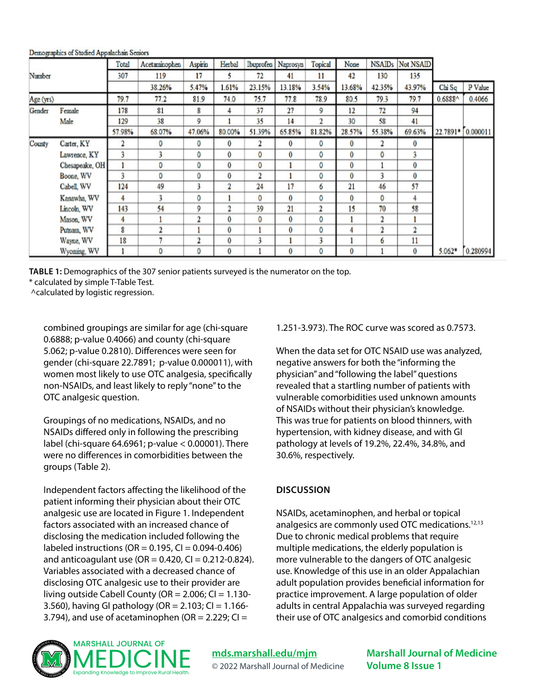|           |                | Total  | Acetaminophen | Aspirin          | Herbal         |        | Ibuprofen Naprosyn | Topical        | None   |                         | NSAID <sub>s</sub> Not NSAID |          |          |
|-----------|----------------|--------|---------------|------------------|----------------|--------|--------------------|----------------|--------|-------------------------|------------------------------|----------|----------|
| Number    |                | 307    | 119           | 17               | 5              | 72     | 41                 | 11             | 42     | 130                     | 135                          |          |          |
|           |                |        | 38.26%        | 5.47%            | 1.61%          | 23.15% | 13.18%             | 3.54%          | 13.68% | 42.35%                  | 43.97%                       | Chi Sq   | P Value  |
| Age (yrs) |                | 79.7   | 77.2          | 81.9             | 74.0           | 75.7   | 77.8               | 78.9           | 80.5   | 79.3                    | 79.7                         | 0.6888^  | 0.4066   |
| Gender    | Female         | 178    | 81            | 8                | 4              | 37     | 27                 | 9              | 12     | 72                      | 94                           |          |          |
|           | Male           | 129    | 38            | 9                |                | 35     | 14                 | $\overline{2}$ | 30     | 58                      | 41                           |          |          |
|           |                | 57.98% | 68.07%        | 47.06%           | 80.00%         | 51.39% | 65.85%             | 81.82%         | 28.57% | 55.38%                  | 69.63%                       | 22.7891* | 0.000011 |
| County    | Carter, KY     |        | o             | 0                | $\bf{0}$       | 2      | 0                  | 0              | 0      | 2                       | $\bf{0}$                     |          |          |
|           | Lawrence, KY   | 3      |               | 0                | 0              | 0      | 0                  | 0              | 0      | 0                       | 3                            |          |          |
|           | Chesapeake, OH |        | 0             | 0                | 0              | 0      |                    | 0              | 0      |                         | 0                            |          |          |
|           | Boone, WV      | ٩      | 0             | 0                | 0              | 2      |                    | 0              | 0      | 3                       | 0                            |          |          |
|           | Cabell, WV     | 124    | 49            | 3                | $\overline{2}$ | 24     | 17                 | 6              | 21     | 46                      | 57                           |          |          |
|           | Kanawha, WV    | 4      |               | 0                |                | 0      | 0                  | 0              | 0      | 0                       | 4                            |          |          |
|           | Lincoln, WV    | 143    | 54            | 9                | 2              | 39     | $_{21}$            | 2              | 15     | 70                      | 58                           |          |          |
|           | Mason, WV      | 4      |               | $\mathbf 2$      | 0              | 0      | 0                  | 0              |        | $\overline{\mathbf{2}}$ |                              |          |          |
|           | Putnam, WV     | 8      | $\mathcal{D}$ |                  | 0              |        | 0                  | 0              | 4      | $\overline{\mathbf{2}}$ | 2                            |          |          |
|           | Wayne, WV      | 18     |               | $\boldsymbol{2}$ | 0              | 3      |                    | 3              |        | 6                       | 11                           |          |          |
|           | Wyoming, WV    |        | 0             | 0                | 0              |        | 0                  | 0              | 0      |                         | 0                            | $5.062*$ | 0.280994 |

Demographics of Studied Appalachain Seniors

**TABLE 1:** Demographics of the 307 senior patients surveyed is the numerator on the top.

\* calculated by simple T-Table Test.

^calculated by logistic regression.

combined groupings are similar for age (chi-square 0.6888; p-value 0.4066) and county (chi-square 5.062; p-value 0.2810). Differences were seen for gender (chi-square 22.7891; p-value 0.000011), with women most likely to use OTC analgesia, specifically non-NSAIDs, and least likely to reply "none" to the OTC analgesic question.

Groupings of no medications, NSAIDs, and no NSAIDs differed only in following the prescribing label (chi-square 64.6961; p-value < 0.00001). There were no differences in comorbidities between the groups (Table 2).

Independent factors affecting the likelihood of the patient informing their physician about their OTC analgesic use are located in Figure 1. Independent factors associated with an increased chance of disclosing the medication included following the labeled instructions ( $OR = 0.195$ ,  $CI = 0.094 - 0.406$ ) and anticoagulant use (OR =  $0.420$ , CI =  $0.212 - 0.824$ ). Variables associated with a decreased chance of disclosing OTC analgesic use to their provider are living outside Cabell County ( $OR = 2.006$ ;  $CI = 1.130$ -3.560), having GI pathology (OR =  $2.103$ ; CI =  $1.166$ -3.794), and use of acetaminophen (OR =  $2.229$ ; CI =

#### 1.251-3.973). The ROC curve was scored as 0.7573.

When the data set for OTC NSAID use was analyzed, negative answers for both the "informing the physician" and "following the label" questions revealed that a startling number of patients with vulnerable comorbidities used unknown amounts of NSAIDs without their physician's knowledge. This was true for patients on blood thinners, with hypertension, with kidney disease, and with GI pathology at levels of 19.2%, 22.4%, 34.8%, and 30.6%, respectively.

#### **DISCUSSION**

NSAIDs, acetaminophen, and herbal or topical analgesics are commonly used OTC medications.12,13 Due to chronic medical problems that require multiple medications, the elderly population is more vulnerable to the dangers of OTC analgesic use. Knowledge of this use in an older Appalachian adult population provides beneficial information for practice improvement. A large population of older adults in central Appalachia was surveyed regarding their use of OTC analgesics and comorbid conditions



**[mds.marshall.edu/mjm](https://mds.marshall.edu/mjm/)** © 2022 Marshall Journal of Medicine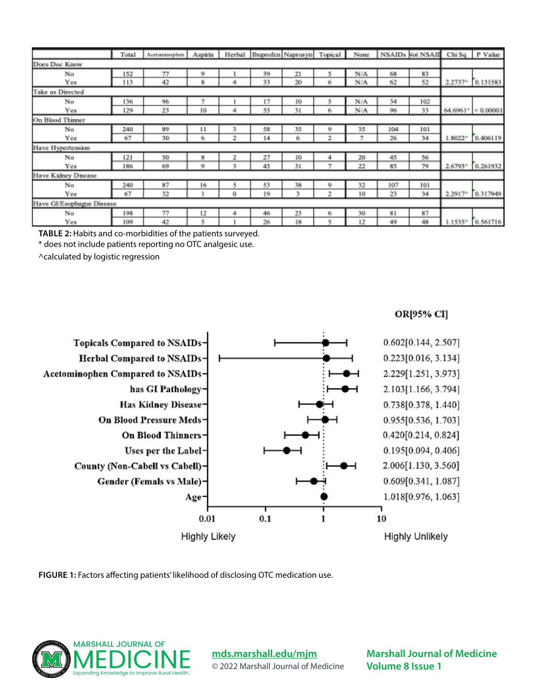|                           | Total | Acetaminophen | <b>Aspirin</b> |   |    | Herbal Ibuprofen Naprosyn Topical |    | None |     | NSAIDs Not NSAII Chi Sq P Value |                   |                             |
|---------------------------|-------|---------------|----------------|---|----|-----------------------------------|----|------|-----|---------------------------------|-------------------|-----------------------------|
| Does Doc Know             |       |               |                |   |    |                                   |    |      |     |                                 |                   |                             |
| No                        | 152   | 77            | 9              |   | 39 | 21                                | 5  | N/A  | 68  | 83                              |                   |                             |
| Yes                       | 113   | 42            | 8              | 4 | 33 | 20                                | 6  | N/A  | 62  | 52                              |                   | 2.2737^ 0.131583            |
| Take as Directed          |       |               |                |   |    |                                   |    |      |     |                                 |                   |                             |
| No                        | 136   | 96            | 7              |   | 17 | 10                                | 5  | N/A  | 34  | 102                             |                   |                             |
| Yes                       | 129   | 23            | 10             | 4 | 55 | 31                                | 6  | N/A  | 96  | 33                              |                   | $64,6961^{\circ}$ < 0.00001 |
| On Blood Thinner          |       |               |                |   |    |                                   |    |      |     |                                 |                   |                             |
| No                        | 240   | 89            | 11             | 3 | 58 | 35                                | 9  | 35   | 104 | 101                             |                   |                             |
| Yes                       | 67    | 30            | 6              | 2 | 14 | 6                                 | 2  | 7    | 26  | 34                              | $1.8022^{\wedge}$ | 0.406119                    |
| Have Hypertension         |       |               |                |   |    |                                   |    |      |     |                                 |                   |                             |
| No                        | 121   | 50            | s              | 2 | 27 | 10                                | 4  | 20   | 45  | 56                              |                   |                             |
| Yes                       | 186   | 69            | 9              | 3 | 45 | 31                                | π  | 22   | 85  | 79                              | 2.6793^           | 0.261932                    |
| Have Kidney Disease.      |       |               |                |   |    |                                   |    |      |     |                                 |                   |                             |
| No                        | 240   | 87            | 16             | 5 | 53 | 38                                | 9  | 32   | 107 | 101                             |                   |                             |
| Yes                       | 67    | 32            |                | 0 | 19 | 3                                 | n, | 10   | 23  | 34                              |                   | 2.2917 0.317949             |
| Have Gl/Esophagus Disease |       |               |                |   |    |                                   |    |      |     |                                 |                   |                             |
| No                        | 198   | 77            | 12             | 4 | 46 | 23                                | 6  | 30   | 81  | 87                              |                   |                             |
| Yes                       | 109   | 42            | 5              |   | 26 | 18                                | 5  | 12   | 49  | 48                              | 1535^             | 0.561716                    |

**TABLE 2:** Habits and co-morbidities of the patients surveyed.

\* does not include patients reporting no OTC analgesic use.

^calculated by logistic regression



**FIGURE 1:** Factors affecting patients' likelihood of disclosing OTC medication use.



**[mds.marshall.edu/mjm](https://mds.marshall.edu/mjm/)** © 2022 Marshall Journal of Medicine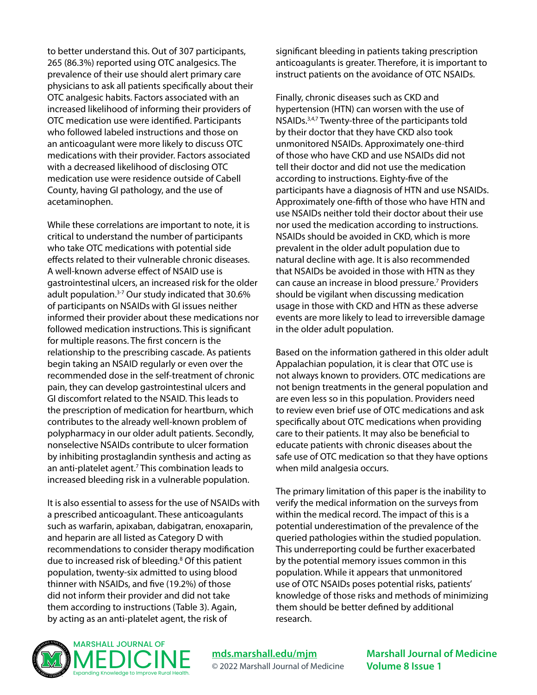to better understand this. Out of 307 participants, 265 (86.3%) reported using OTC analgesics. The prevalence of their use should alert primary care physicians to ask all patients specifically about their OTC analgesic habits. Factors associated with an increased likelihood of informing their providers of OTC medication use were identified. Participants who followed labeled instructions and those on an anticoagulant were more likely to discuss OTC medications with their provider. Factors associated with a decreased likelihood of disclosing OTC medication use were residence outside of Cabell County, having GI pathology, and the use of acetaminophen.

While these correlations are important to note, it is critical to understand the number of participants who take OTC medications with potential side effects related to their vulnerable chronic diseases. A well-known adverse effect of NSAID use is gastrointestinal ulcers, an increased risk for the older adult population.3-7 Our study indicated that 30.6% of participants on NSAIDs with GI issues neither informed their provider about these medications nor followed medication instructions. This is significant for multiple reasons. The first concern is the relationship to the prescribing cascade. As patients begin taking an NSAID regularly or even over the recommended dose in the self-treatment of chronic pain, they can develop gastrointestinal ulcers and GI discomfort related to the NSAID. This leads to the prescription of medication for heartburn, which contributes to the already well-known problem of polypharmacy in our older adult patients. Secondly, nonselective NSAIDs contribute to ulcer formation by inhibiting prostaglandin synthesis and acting as an anti-platelet agent.<sup>7</sup> This combination leads to increased bleeding risk in a vulnerable population.

It is also essential to assess for the use of NSAIDs with a prescribed anticoagulant. These anticoagulants such as warfarin, apixaban, dabigatran, enoxaparin, and heparin are all listed as Category D with recommendations to consider therapy modification due to increased risk of bleeding.<sup>8</sup> Of this patient population, twenty-six admitted to using blood thinner with NSAIDs, and five (19.2%) of those did not inform their provider and did not take them according to instructions (Table 3). Again, by acting as an anti-platelet agent, the risk of

significant bleeding in patients taking prescription anticoagulants is greater. Therefore, it is important to instruct patients on the avoidance of OTC NSAIDs.

Finally, chronic diseases such as CKD and hypertension (HTN) can worsen with the use of NSAIDs.3,4,7 Twenty-three of the participants told by their doctor that they have CKD also took unmonitored NSAIDs. Approximately one-third of those who have CKD and use NSAIDs did not tell their doctor and did not use the medication according to instructions. Eighty-five of the participants have a diagnosis of HTN and use NSAIDs. Approximately one-fifth of those who have HTN and use NSAIDs neither told their doctor about their use nor used the medication according to instructions. NSAIDs should be avoided in CKD, which is more prevalent in the older adult population due to natural decline with age. It is also recommended that NSAIDs be avoided in those with HTN as they can cause an increase in blood pressure.<sup>7</sup> Providers should be vigilant when discussing medication usage in those with CKD and HTN as these adverse events are more likely to lead to irreversible damage in the older adult population.

Based on the information gathered in this older adult Appalachian population, it is clear that OTC use is not always known to providers. OTC medications are not benign treatments in the general population and are even less so in this population. Providers need to review even brief use of OTC medications and ask specifically about OTC medications when providing care to their patients. It may also be beneficial to educate patients with chronic diseases about the safe use of OTC medication so that they have options when mild analgesia occurs.

The primary limitation of this paper is the inability to verify the medical information on the surveys from within the medical record. The impact of this is a potential underestimation of the prevalence of the queried pathologies within the studied population. This underreporting could be further exacerbated by the potential memory issues common in this population. While it appears that unmonitored use of OTC NSAIDs poses potential risks, patients' knowledge of those risks and methods of minimizing them should be better defined by additional research.



**[mds.marshall.edu/mjm](https://mds.marshall.edu/mjm/)** © 2022 Marshall Journal of Medicine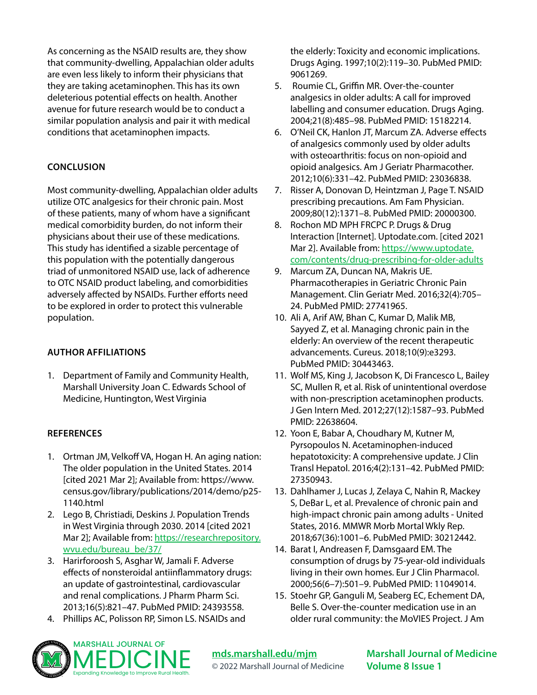As concerning as the NSAID results are, they show that community-dwelling, Appalachian older adults are even less likely to inform their physicians that they are taking acetaminophen. This has its own deleterious potential effects on health. Another avenue for future research would be to conduct a similar population analysis and pair it with medical conditions that acetaminophen impacts.

#### **CONCLUSION**

Most community-dwelling, Appalachian older adults utilize OTC analgesics for their chronic pain. Most of these patients, many of whom have a significant medical comorbidity burden, do not inform their physicians about their use of these medications. This study has identified a sizable percentage of this population with the potentially dangerous triad of unmonitored NSAID use, lack of adherence to OTC NSAID product labeling, and comorbidities adversely affected by NSAIDs. Further efforts need to be explored in order to protect this vulnerable population.

#### **AUTHOR AFFILIATIONS**

1. Department of Family and Community Health, Marshall University Joan C. Edwards School of Medicine, Huntington, West Virginia

#### **REFERENCES**

- 1. Ortman JM, Velkoff VA, Hogan H. An aging nation: The older population in the United States. 2014 [cited 2021 Mar 2]; Available from: https://www. census.gov/library/publications/2014/demo/p25- 1140.html
- 2. Lego B, Christiadi, Deskins J. Population Trends in West Virginia through 2030. 2014 [cited 2021 Mar 2]; Available from: [https://researchrepository.](https://researchrepository.wvu.edu/bureau_be/37/) [wvu.edu/bureau\\_be/37/](https://researchrepository.wvu.edu/bureau_be/37/)
- 3. Harirforoosh S, Asghar W, Jamali F. Adverse effects of nonsteroidal antiinflammatory drugs: an update of gastrointestinal, cardiovascular and renal complications. J Pharm Pharm Sci. 2013;16(5):821–47. PubMed PMID: 24393558.
- 4. Phillips AC, Polisson RP, Simon LS. NSAIDs and

the elderly: Toxicity and economic implications. Drugs Aging. 1997;10(2):119–30. PubMed PMID: 9061269.

- 5. Roumie CL, Griffin MR. Over-the-counter analgesics in older adults: A call for improved labelling and consumer education. Drugs Aging. 2004;21(8):485–98. PubMed PMID: 15182214.
- 6. O'Neil CK, Hanlon JT, Marcum ZA. Adverse effects of analgesics commonly used by older adults with osteoarthritis: focus on non-opioid and opioid analgesics. Am J Geriatr Pharmacother. 2012;10(6):331–42. PubMed PMID: 23036838.
- 7. Risser A, Donovan D, Heintzman J, Page T. NSAID prescribing precautions. Am Fam Physician. 2009;80(12):1371–8. PubMed PMID: 20000300.
- 8. Rochon MD MPH FRCPC P. Drugs & Drug Interaction [Internet]. Uptodate.com. [cited 2021 Mar 2]. Available from: [https://www.uptodate.](https://www.uptodate.com/contents/drug-prescribing-for-older-adults) [com/contents/drug-prescribing-for-older-adults](https://www.uptodate.com/contents/drug-prescribing-for-older-adults)
- 9. Marcum ZA, Duncan NA, Makris UE. Pharmacotherapies in Geriatric Chronic Pain Management. Clin Geriatr Med. 2016;32(4):705– 24. PubMed PMID: 27741965.
- 10. Ali A, Arif AW, Bhan C, Kumar D, Malik MB, Sayyed Z, et al. Managing chronic pain in the elderly: An overview of the recent therapeutic advancements. Cureus. 2018;10(9):e3293. PubMed PMID: 30443463.
- 11. Wolf MS, King J, Jacobson K, Di Francesco L, Bailey SC, Mullen R, et al. Risk of unintentional overdose with non-prescription acetaminophen products. J Gen Intern Med. 2012;27(12):1587–93. PubMed PMID: 22638604.
- 12. Yoon E, Babar A, Choudhary M, Kutner M, Pyrsopoulos N. Acetaminophen-induced hepatotoxicity: A comprehensive update. J Clin Transl Hepatol. 2016;4(2):131–42. PubMed PMID: 27350943.
- 13. Dahlhamer J, Lucas J, Zelaya C, Nahin R, Mackey S, DeBar L, et al. Prevalence of chronic pain and high-impact chronic pain among adults - United States, 2016. MMWR Morb Mortal Wkly Rep. 2018;67(36):1001–6. PubMed PMID: 30212442.
- 14. Barat I, Andreasen F, Damsgaard EM. The consumption of drugs by 75-year-old individuals living in their own homes. Eur J Clin Pharmacol. 2000;56(6–7):501–9. PubMed PMID: 11049014.
- 15. Stoehr GP, Ganguli M, Seaberg EC, Echement DA, Belle S. Over-the-counter medication use in an older rural community: the MoVIES Project. J Am



**[mds.marshall.edu/mjm](https://mds.marshall.edu/mjm/)** © 2022 Marshall Journal of Medicine